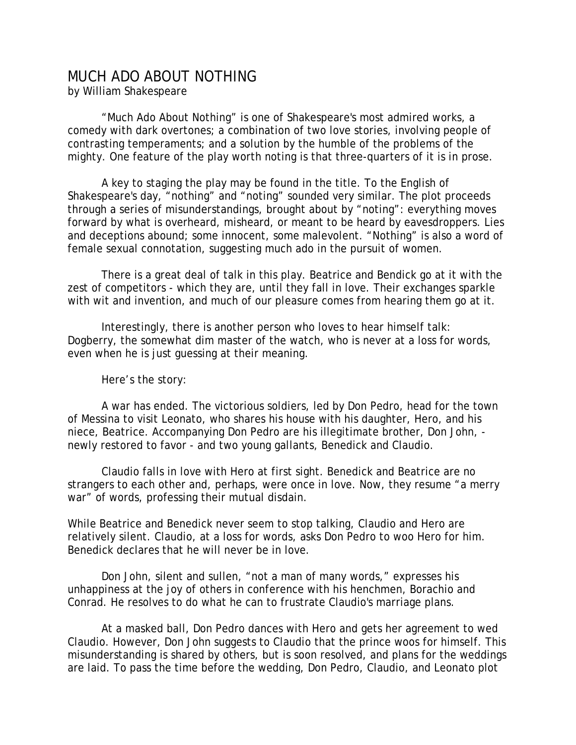## MUCH ADO ABOUT NOTHING

by William Shakespeare

 "Much Ado About Nothing" is one of Shakespeare's most admired works, a comedy with dark overtones; a combination of two love stories, involving people of contrasting temperaments; and a solution by the humble of the problems of the mighty. One feature of the play worth noting is that three-quarters of it is in prose.

 A key to staging the play may be found in the title. To the English of Shakespeare's day, "nothing" and "noting" sounded very similar. The plot proceeds through a series of misunderstandings, brought about by "noting": everything moves forward by what is overheard, misheard, or meant to be heard by eavesdroppers. Lies and deceptions abound; some innocent, some malevolent. "Nothing" is also a word of female sexual connotation, suggesting much ado in the pursuit of women.

 There is a great deal of talk in this play. Beatrice and Bendick go at it with the zest of competitors - which they are, until they fall in love. Their exchanges sparkle with wit and invention, and much of our pleasure comes from hearing them go at it.

 Interestingly, there is another person who loves to hear himself talk: Dogberry, the somewhat dim master of the watch, who is never at a loss for words, even when he is just guessing at their meaning.

Here's the story:

 A war has ended. The victorious soldiers, led by Don Pedro, head for the town of Messina to visit Leonato, who shares his house with his daughter, Hero, and his niece, Beatrice. Accompanying Don Pedro are his illegitimate brother, Don John, newly restored to favor - and two young gallants, Benedick and Claudio.

 Claudio falls in love with Hero at first sight. Benedick and Beatrice are no strangers to each other and, perhaps, were once in love. Now, they resume "a merry war" of words, professing their mutual disdain.

While Beatrice and Benedick never seem to stop talking, Claudio and Hero are relatively silent. Claudio, at a loss for words, asks Don Pedro to woo Hero for him. Benedick declares that he will never be in love.

 Don John, silent and sullen, "not a man of many words," expresses his unhappiness at the joy of others in conference with his henchmen, Borachio and Conrad. He resolves to do what he can to frustrate Claudio's marriage plans.

 At a masked ball, Don Pedro dances with Hero and gets her agreement to wed Claudio. However, Don John suggests to Claudio that the prince woos for himself. This misunderstanding is shared by others, but is soon resolved, and plans for the weddings are laid. To pass the time before the wedding, Don Pedro, Claudio, and Leonato plot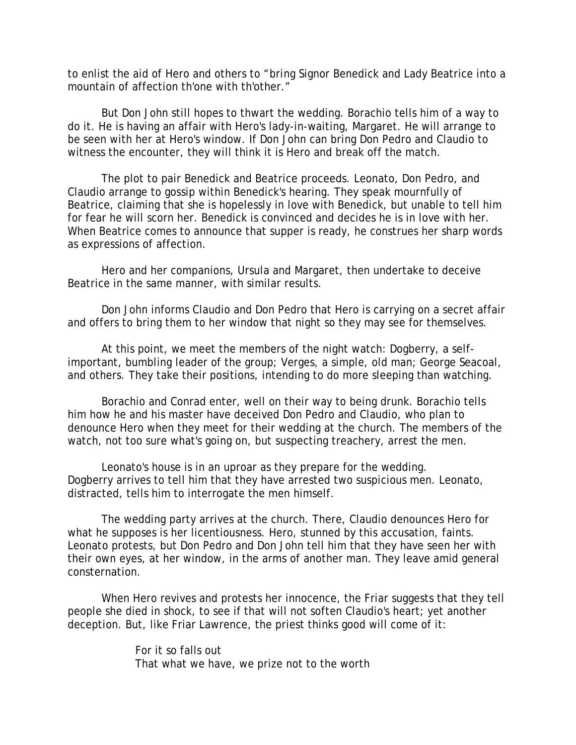to enlist the aid of Hero and others to "bring Signor Benedick and Lady Beatrice into a mountain of affection th'one with th'other."

 But Don John still hopes to thwart the wedding. Borachio tells him of a way to do it. He is having an affair with Hero's lady-in-waiting, Margaret. He will arrange to be seen with her at Hero's window. If Don John can bring Don Pedro and Claudio to witness the encounter, they will think it is Hero and break off the match.

 The plot to pair Benedick and Beatrice proceeds. Leonato, Don Pedro, and Claudio arrange to gossip within Benedick's hearing. They speak mournfully of Beatrice, claiming that she is hopelessly in love with Benedick, but unable to tell him for fear he will scorn her. Benedick is convinced and decides he is in love with her. When Beatrice comes to announce that supper is ready, he construes her sharp words as expressions of affection.

 Hero and her companions, Ursula and Margaret, then undertake to deceive Beatrice in the same manner, with similar results.

 Don John informs Claudio and Don Pedro that Hero is carrying on a secret affair and offers to bring them to her window that night so they may see for themselves.

 At this point, we meet the members of the night watch: Dogberry, a selfimportant, bumbling leader of the group; Verges, a simple, old man; George Seacoal, and others. They take their positions, intending to do more sleeping than watching.

 Borachio and Conrad enter, well on their way to being drunk. Borachio tells him how he and his master have deceived Don Pedro and Claudio, who plan to denounce Hero when they meet for their wedding at the church. The members of the watch, not too sure what's going on, but suspecting treachery, arrest the men.

 Leonato's house is in an uproar as they prepare for the wedding. Dogberry arrives to tell him that they have arrested two suspicious men. Leonato, distracted, tells him to interrogate the men himself.

 The wedding party arrives at the church. There, Claudio denounces Hero for what he supposes is her licentiousness. Hero, stunned by this accusation, faints. Leonato protests, but Don Pedro and Don John tell him that they have seen her with their own eyes, at her window, in the arms of another man. They leave amid general consternation.

 When Hero revives and protests her innocence, the Friar suggests that they tell people she died in shock, to see if that will not soften Claudio's heart; yet another deception. But, like Friar Lawrence, the priest thinks good will come of it:

> For it so falls out That what we have, we prize not to the worth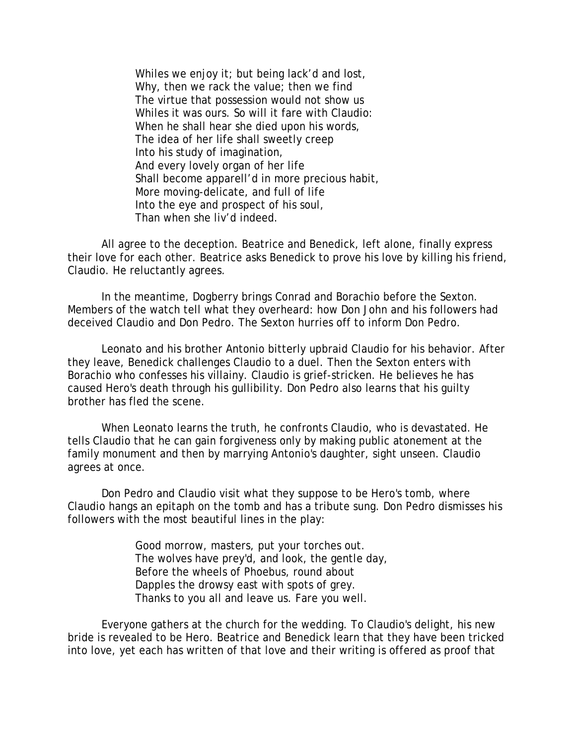Whiles we enjoy it; but being lack'd and lost, Why, then we rack the value; then we find The virtue that possession would not show us Whiles it was ours. So will it fare with Claudio: When he shall hear she died upon his words, The idea of her life shall sweetly creep Into his study of imagination, And every lovely organ of her life Shall become apparell'd in more precious habit, More moving-delicate, and full of life Into the eye and prospect of his soul, Than when she liv'd indeed.

 All agree to the deception. Beatrice and Benedick, left alone, finally express their love for each other. Beatrice asks Benedick to prove his love by killing his friend, Claudio. He reluctantly agrees.

 In the meantime, Dogberry brings Conrad and Borachio before the Sexton. Members of the watch tell what they overheard: how Don John and his followers had deceived Claudio and Don Pedro. The Sexton hurries off to inform Don Pedro.

 Leonato and his brother Antonio bitterly upbraid Claudio for his behavior. After they leave, Benedick challenges Claudio to a duel. Then the Sexton enters with Borachio who confesses his villainy. Claudio is grief-stricken. He believes he has caused Hero's death through his gullibility. Don Pedro also learns that his guilty brother has fled the scene.

 When Leonato learns the truth, he confronts Claudio, who is devastated. He tells Claudio that he can gain forgiveness only by making public atonement at the family monument and then by marrying Antonio's daughter, sight unseen. Claudio agrees at once.

 Don Pedro and Claudio visit what they suppose to be Hero's tomb, where Claudio hangs an epitaph on the tomb and has a tribute sung. Don Pedro dismisses his followers with the most beautiful lines in the play:

> Good morrow, masters, put your torches out. The wolves have prey'd, and look, the gentle day, Before the wheels of Phoebus, round about Dapples the drowsy east with spots of grey. Thanks to you all and leave us. Fare you well.

 Everyone gathers at the church for the wedding. To Claudio's delight, his new bride is revealed to be Hero. Beatrice and Benedick learn that they have been tricked into love, yet each has written of that love and their writing is offered as proof that